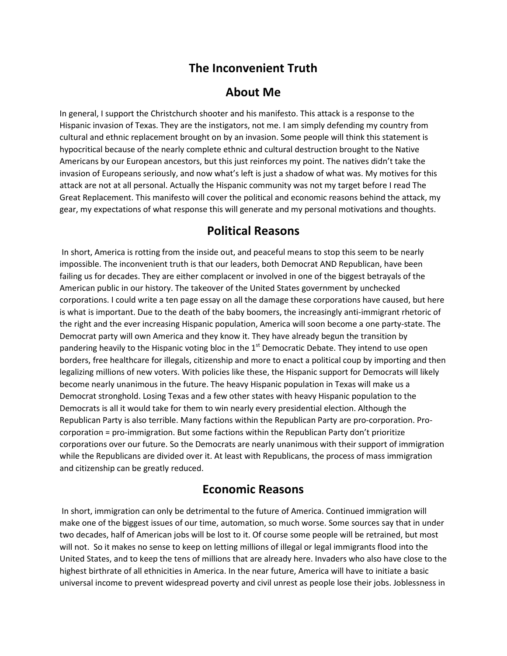# **The Inconvenient Truth**

#### **About Me**

In general, I support the Christchurch shooter and his manifesto. This attack is a response to the Hispanic invasion of Texas. They are the instigators, not me. I am simply defending my country from cultural and ethnic replacement brought on by an invasion. Some people will think this statement is hypocritical because of the nearly complete ethnic and cultural destruction brought to the Native Americans by our European ancestors, but this just reinforces my point. The natives didn't take the invasion of Europeans seriously, and now what's left is just a shadow of what was. My motives for this attack are not at all personal. Actually the Hispanic community was not my target before I read The Great Replacement. This manifesto will cover the political and economic reasons behind the attack, my gear, my expectations of what response this will generate and my personal motivations and thoughts.

### **Political Reasons**

 In short, America is rotting from the inside out, and peaceful means to stop this seem to be nearly impossible. The inconvenient truth is that our leaders, both Democrat AND Republican, have been failing us for decades. They are either complacent or involved in one of the biggest betrayals of the American public in our history. The takeover of the United States government by unchecked corporations. I could write a ten page essay on all the damage these corporations have caused, but here is what is important. Due to the death of the baby boomers, the increasingly anti-immigrant rhetoric of the right and the ever increasing Hispanic population, America will soon become a one party-state. The Democrat party will own America and they know it. They have already begun the transition by pandering heavily to the Hispanic voting bloc in the  $1<sup>st</sup>$  Democratic Debate. They intend to use open borders, free healthcare for illegals, citizenship and more to enact a political coup by importing and then legalizing millions of new voters. With policies like these, the Hispanic support for Democrats will likely become nearly unanimous in the future. The heavy Hispanic population in Texas will make us a Democrat stronghold. Losing Texas and a few other states with heavy Hispanic population to the Democrats is all it would take for them to win nearly every presidential election. Although the Republican Party is also terrible. Many factions within the Republican Party are pro-corporation. Procorporation = pro-immigration. But some factions within the Republican Party don't prioritize corporations over our future. So the Democrats are nearly unanimous with their support of immigration while the Republicans are divided over it. At least with Republicans, the process of mass immigration and citizenship can be greatly reduced.

#### **Economic Reasons**

 In short, immigration can only be detrimental to the future of America. Continued immigration will make one of the biggest issues of our time, automation, so much worse. Some sources say that in under two decades, half of American jobs will be lost to it. Of course some people will be retrained, but most will not. So it makes no sense to keep on letting millions of illegal or legal immigrants flood into the United States, and to keep the tens of millions that are already here. Invaders who also have close to the highest birthrate of all ethnicities in America. In the near future, America will have to initiate a basic universal income to prevent widespread poverty and civil unrest as people lose their jobs. Joblessness in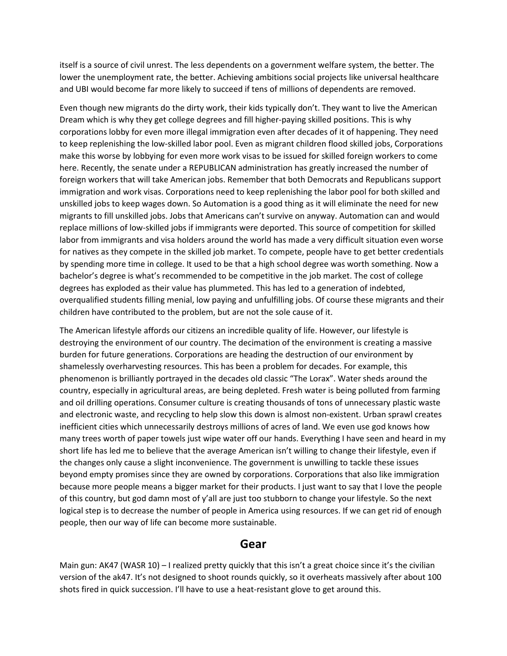itself is a source of civil unrest. The less dependents on a government welfare system, the better. The lower the unemployment rate, the better. Achieving ambitions social projects like universal healthcare and UBI would become far more likely to succeed if tens of millions of dependents are removed.

Even though new migrants do the dirty work, their kids typically don't. They want to live the American Dream which is why they get college degrees and fill higher-paying skilled positions. This is why corporations lobby for even more illegal immigration even after decades of it of happening. They need to keep replenishing the low-skilled labor pool. Even as migrant children flood skilled jobs, Corporations make this worse by lobbying for even more work visas to be issued for skilled foreign workers to come here. Recently, the senate under a REPUBLICAN administration has greatly increased the number of foreign workers that will take American jobs. Remember that both Democrats and Republicans support immigration and work visas. Corporations need to keep replenishing the labor pool for both skilled and unskilled jobs to keep wages down. So Automation is a good thing as it will eliminate the need for new migrants to fill unskilled jobs. Jobs that Americans can't survive on anyway. Automation can and would replace millions of low-skilled jobs if immigrants were deported. This source of competition for skilled labor from immigrants and visa holders around the world has made a very difficult situation even worse for natives as they compete in the skilled job market. To compete, people have to get better credentials by spending more time in college. It used to be that a high school degree was worth something. Now a bachelor's degree is what's recommended to be competitive in the job market. The cost of college degrees has exploded as their value has plummeted. This has led to a generation of indebted, overqualified students filling menial, low paying and unfulfilling jobs. Of course these migrants and their children have contributed to the problem, but are not the sole cause of it.

The American lifestyle affords our citizens an incredible quality of life. However, our lifestyle is destroying the environment of our country. The decimation of the environment is creating a massive burden for future generations. Corporations are heading the destruction of our environment by shamelessly overharvesting resources. This has been a problem for decades. For example, this phenomenon is brilliantly portrayed in the decades old classic "The Lorax". Water sheds around the country, especially in agricultural areas, are being depleted. Fresh water is being polluted from farming and oil drilling operations. Consumer culture is creating thousands of tons of unnecessary plastic waste and electronic waste, and recycling to help slow this down is almost non-existent. Urban sprawl creates inefficient cities which unnecessarily destroys millions of acres of land. We even use god knows how many trees worth of paper towels just wipe water off our hands. Everything I have seen and heard in my short life has led me to believe that the average American isn't willing to change their lifestyle, even if the changes only cause a slight inconvenience. The government is unwilling to tackle these issues beyond empty promises since they are owned by corporations. Corporations that also like immigration because more people means a bigger market for their products. I just want to say that I love the people of this country, but god damn most of y'all are just too stubborn to change your lifestyle. So the next logical step is to decrease the number of people in America using resources. If we can get rid of enough people, then our way of life can become more sustainable.

#### **Gear**

Main gun: AK47 (WASR 10) – I realized pretty quickly that this isn't a great choice since it's the civilian version of the ak47. It's not designed to shoot rounds quickly, so it overheats massively after about 100 shots fired in quick succession. I'll have to use a heat-resistant glove to get around this.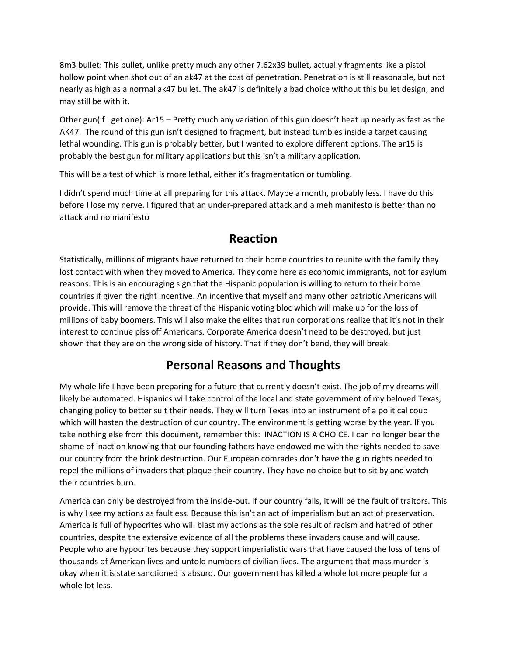8m3 bullet: This bullet, unlike pretty much any other 7.62x39 bullet, actually fragments like a pistol hollow point when shot out of an ak47 at the cost of penetration. Penetration is still reasonable, but not nearly as high as a normal ak47 bullet. The ak47 is definitely a bad choice without this bullet design, and may still be with it.

Other gun(if I get one): Ar15 – Pretty much any variation of this gun doesn't heat up nearly as fast as the AK47. The round of this gun isn't designed to fragment, but instead tumbles inside a target causing lethal wounding. This gun is probably better, but I wanted to explore different options. The ar15 is probably the best gun for military applications but this isn't a military application.

This will be a test of which is more lethal, either it's fragmentation or tumbling.

I didn't spend much time at all preparing for this attack. Maybe a month, probably less. I have do this before I lose my nerve. I figured that an under-prepared attack and a meh manifesto is better than no attack and no manifesto

# **Reaction**

Statistically, millions of migrants have returned to their home countries to reunite with the family they lost contact with when they moved to America. They come here as economic immigrants, not for asylum reasons. This is an encouraging sign that the Hispanic population is willing to return to their home countries if given the right incentive. An incentive that myself and many other patriotic Americans will provide. This will remove the threat of the Hispanic voting bloc which will make up for the loss of millions of baby boomers. This will also make the elites that run corporations realize that it's not in their interest to continue piss off Americans. Corporate America doesn't need to be destroyed, but just shown that they are on the wrong side of history. That if they don't bend, they will break.

# **Personal Reasons and Thoughts**

My whole life I have been preparing for a future that currently doesn't exist. The job of my dreams will likely be automated. Hispanics will take control of the local and state government of my beloved Texas, changing policy to better suit their needs. They will turn Texas into an instrument of a political coup which will hasten the destruction of our country. The environment is getting worse by the year. If you take nothing else from this document, remember this: INACTION IS A CHOICE. I can no longer bear the shame of inaction knowing that our founding fathers have endowed me with the rights needed to save our country from the brink destruction. Our European comrades don't have the gun rights needed to repel the millions of invaders that plaque their country. They have no choice but to sit by and watch their countries burn.

America can only be destroyed from the inside-out. If our country falls, it will be the fault of traitors. This is why I see my actions as faultless. Because this isn't an act of imperialism but an act of preservation. America is full of hypocrites who will blast my actions as the sole result of racism and hatred of other countries, despite the extensive evidence of all the problems these invaders cause and will cause. People who are hypocrites because they support imperialistic wars that have caused the loss of tens of thousands of American lives and untold numbers of civilian lives. The argument that mass murder is okay when it is state sanctioned is absurd. Our government has killed a whole lot more people for a whole lot less.